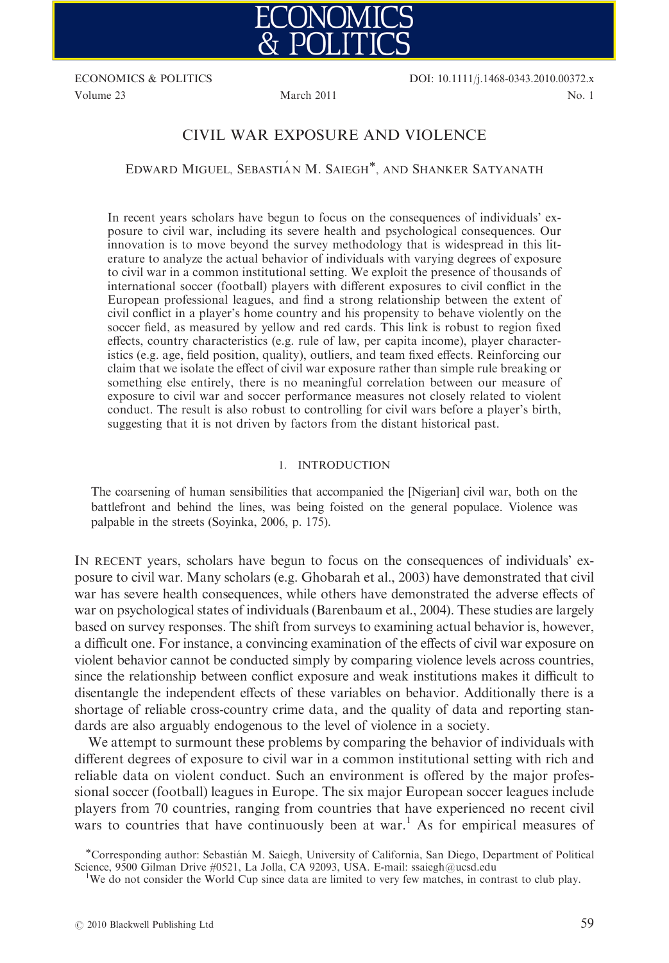ECONOMICS & POLITICS DOI: 10.1111/j.1468-0343.2010.00372.x Volume 23 March 2011 March 2011 No. 1

# CIVIL WAR EXPOSURE AND VIOLENCE

EDWARD MIGUEL, SEBASTIAN M. SAIEGH<sup>\*</sup>, AND SHANKER SATYANATH

In recent years scholars have begun to focus on the consequences of individuals' exposure to civil war, including its severe health and psychological consequences. Our innovation is to move beyond the survey methodology that is widespread in this literature to analyze the actual behavior of individuals with varying degrees of exposure to civil war in a common institutional setting. We exploit the presence of thousands of international soccer (football) players with different exposures to civil conflict in the European professional leagues, and find a strong relationship between the extent of civil conflict in a player's home country and his propensity to behave violently on the soccer field, as measured by yellow and red cards. This link is robust to region fixed effects, country characteristics (e.g. rule of law, per capita income), player characteristics (e.g. age, field position, quality), outliers, and team fixed effects. Reinforcing our claim that we isolate the effect of civil war exposure rather than simple rule breaking or something else entirely, there is no meaningful correlation between our measure of exposure to civil war and soccer performance measures not closely related to violent conduct. The result is also robust to controlling for civil wars before a player's birth, suggesting that it is not driven by factors from the distant historical past.

#### 1. INTRODUCTION

The coarsening of human sensibilities that accompanied the [Nigerian] civil war, both on the battlefront and behind the lines, was being foisted on the general populace. Violence was palpable in the streets (Soyinka, 2006, p. 175).

IN RECENT years, scholars have begun to focus on the consequences of individuals' exposure to civil war. Many scholars (e.g. Ghobarah et al., 2003) have demonstrated that civil war has severe health consequences, while others have demonstrated the adverse effects of war on psychological states of individuals (Barenbaum et al., 2004). These studies are largely based on survey responses. The shift from surveys to examining actual behavior is, however, a difficult one. For instance, a convincing examination of the effects of civil war exposure on violent behavior cannot be conducted simply by comparing violence levels across countries, since the relationship between conflict exposure and weak institutions makes it difficult to disentangle the independent effects of these variables on behavior. Additionally there is a shortage of reliable cross-country crime data, and the quality of data and reporting standards are also arguably endogenous to the level of violence in a society.

We attempt to surmount these problems by comparing the behavior of individuals with different degrees of exposure to civil war in a common institutional setting with rich and reliable data on violent conduct. Such an environment is offered by the major professional soccer (football) leagues in Europe. The six major European soccer leagues include players from 70 countries, ranging from countries that have experienced no recent civil wars to countries that have continuously been at war.<sup>1</sup> As for empirical measures of

<sup>-</sup>Corresponding author: Sebastia´n M. Saiegh, University of California, San Diego, Department of Political Science, 9500 Gilman Drive #0521, La Jolla, CA 92093, USA. E-mail: ssaiegh@ucsd.edu

We do not consider the World Cup since data are limited to very few matches, in contrast to club play.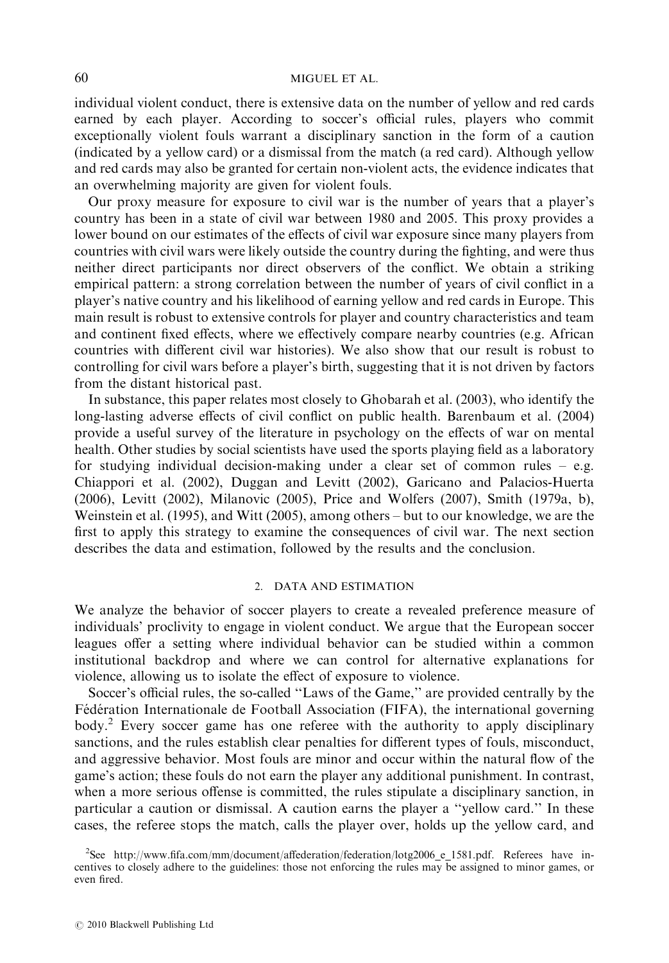### 60 MIGUEL ET AL.

individual violent conduct, there is extensive data on the number of yellow and red cards earned by each player. According to soccer's official rules, players who commit exceptionally violent fouls warrant a disciplinary sanction in the form of a caution (indicated by a yellow card) or a dismissal from the match (a red card). Although yellow and red cards may also be granted for certain non-violent acts, the evidence indicates that an overwhelming majority are given for violent fouls.

Our proxy measure for exposure to civil war is the number of years that a player's country has been in a state of civil war between 1980 and 2005. This proxy provides a lower bound on our estimates of the effects of civil war exposure since many players from countries with civil wars were likely outside the country during the fighting, and were thus neither direct participants nor direct observers of the conflict. We obtain a striking empirical pattern: a strong correlation between the number of years of civil conflict in a player's native country and his likelihood of earning yellow and red cards in Europe. This main result is robust to extensive controls for player and country characteristics and team and continent fixed effects, where we effectively compare nearby countries (e.g. African countries with different civil war histories). We also show that our result is robust to controlling for civil wars before a player's birth, suggesting that it is not driven by factors from the distant historical past.

In substance, this paper relates most closely to Ghobarah et al. (2003), who identify the long-lasting adverse effects of civil conflict on public health. Barenbaum et al. (2004) provide a useful survey of the literature in psychology on the effects of war on mental health. Other studies by social scientists have used the sports playing field as a laboratory for studying individual decision-making under a clear set of common rules  $-$  e.g. Chiappori et al. (2002), Duggan and Levitt (2002), Garicano and Palacios-Huerta (2006), Levitt (2002), Milanovic (2005), Price and Wolfers (2007), Smith (1979a, b), Weinstein et al. (1995), and Witt (2005), among others – but to our knowledge, we are the first to apply this strategy to examine the consequences of civil war. The next section describes the data and estimation, followed by the results and the conclusion.

#### 2. DATA AND ESTIMATION

We analyze the behavior of soccer players to create a revealed preference measure of individuals' proclivity to engage in violent conduct. We argue that the European soccer leagues offer a setting where individual behavior can be studied within a common institutional backdrop and where we can control for alternative explanations for violence, allowing us to isolate the effect of exposure to violence.

Soccer's official rules, the so-called ''Laws of the Game,'' are provided centrally by the Fédération Internationale de Football Association (FIFA), the international governing body.2 Every soccer game has one referee with the authority to apply disciplinary sanctions, and the rules establish clear penalties for different types of fouls, misconduct, and aggressive behavior. Most fouls are minor and occur within the natural flow of the game's action; these fouls do not earn the player any additional punishment. In contrast, when a more serious offense is committed, the rules stipulate a disciplinary sanction, in particular a caution or dismissal. A caution earns the player a ''yellow card.'' In these cases, the referee stops the match, calls the player over, holds up the yellow card, and

<sup>&</sup>lt;sup>2</sup>See [http://www.fifa.com/mm/document/affederation/federation/lotg2006\\_e\\_1581.pdf. Referees have in](http://www.fifa.com/mm/document/affederation/federation/lotg2006_e_1581.pdf)[centives to closely adhere to the guidelines: those not enforcing the rules may be assigned to minor games, or](http://www.fifa.com/mm/document/affederation/federation/lotg2006_e_1581.pdf) [even fired.](http://www.fifa.com/mm/document/affederation/federation/lotg2006_e_1581.pdf)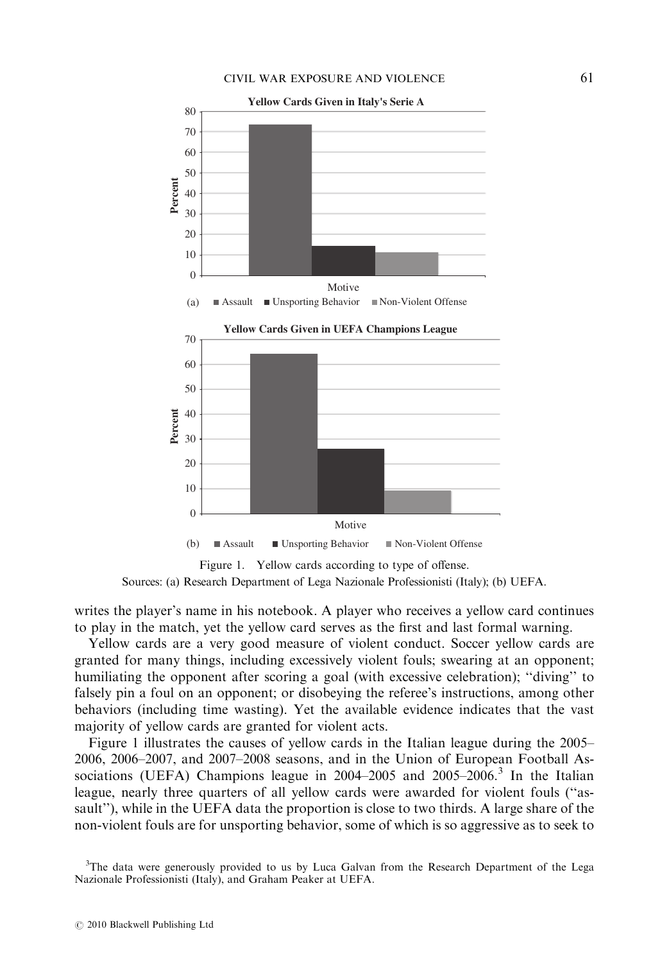### CIVIL WAR EXPOSURE AND VIOLENCE 61



Figure 1. Yellow cards according to type of offense. Sources: (a) Research Department of Lega Nazionale Professionisti (Italy); (b) UEFA.

writes the player's name in his notebook. A player who receives a yellow card continues to play in the match, yet the yellow card serves as the first and last formal warning.

Yellow cards are a very good measure of violent conduct. Soccer yellow cards are granted for many things, including excessively violent fouls; swearing at an opponent; humiliating the opponent after scoring a goal (with excessive celebration); "diving" to falsely pin a foul on an opponent; or disobeying the referee's instructions, among other behaviors (including time wasting). Yet the available evidence indicates that the vast majority of yellow cards are granted for violent acts.

Figure 1 illustrates the causes of yellow cards in the Italian league during the 2005– 2006, 2006–2007, and 2007–2008 seasons, and in the Union of European Football Associations (UEFA) Champions league in  $2004-2005$  and  $2005-2006$ .<sup>3</sup> In the Italian league, nearly three quarters of all yellow cards were awarded for violent fouls (''assault''), while in the UEFA data the proportion is close to two thirds. A large share of the non-violent fouls are for unsporting behavior, some of which is so aggressive as to seek to

<sup>&</sup>lt;sup>3</sup>The data were generously provided to us by Luca Galvan from the Research Department of the Lega Nazionale Professionisti (Italy), and Graham Peaker at UEFA.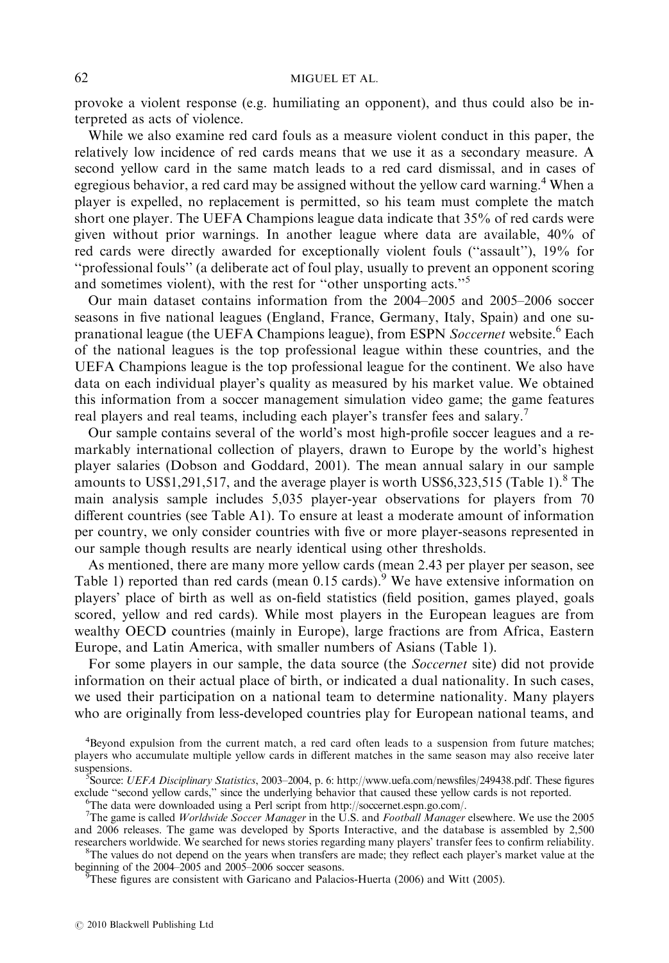provoke a violent response (e.g. humiliating an opponent), and thus could also be interpreted as acts of violence.

While we also examine red card fouls as a measure violent conduct in this paper, the relatively low incidence of red cards means that we use it as a secondary measure. A second yellow card in the same match leads to a red card dismissal, and in cases of egregious behavior, a red card may be assigned without the yellow card warning.<sup>4</sup> When a player is expelled, no replacement is permitted, so his team must complete the match short one player. The UEFA Champions league data indicate that 35% of red cards were given without prior warnings. In another league where data are available, 40% of red cards were directly awarded for exceptionally violent fouls (''assault''), 19% for ''professional fouls'' (a deliberate act of foul play, usually to prevent an opponent scoring and sometimes violent), with the rest for ''other unsporting acts.''<sup>5</sup>

Our main dataset contains information from the 2004–2005 and 2005–2006 soccer seasons in five national leagues (England, France, Germany, Italy, Spain) and one supranational league (the UEFA Champions league), from ESPN Soccernet website.<sup>6</sup> Each of the national leagues is the top professional league within these countries, and the UEFA Champions league is the top professional league for the continent. We also have data on each individual player's quality as measured by his market value. We obtained this information from a soccer management simulation video game; the game features real players and real teams, including each player's transfer fees and salary.<sup>7</sup>

Our sample contains several of the world's most high-profile soccer leagues and a remarkably international collection of players, drawn to Europe by the world's highest player salaries (Dobson and Goddard, 2001). The mean annual salary in our sample amounts to US\$1,291,517, and the average player is worth US\$6,323,515 (Table 1).<sup>8</sup> The main analysis sample includes 5,035 player-year observations for players from 70 different countries (see Table A1). To ensure at least a moderate amount of information per country, we only consider countries with five or more player-seasons represented in our sample though results are nearly identical using other thresholds.

As mentioned, there are many more yellow cards (mean 2.43 per player per season, see Table 1) reported than red cards (mean  $0.15$  cards).<sup>9</sup> We have extensive information on players' place of birth as well as on-field statistics (field position, games played, goals scored, yellow and red cards). While most players in the European leagues are from wealthy OECD countries (mainly in Europe), large fractions are from Africa, Eastern Europe, and Latin America, with smaller numbers of Asians (Table 1).

For some players in our sample, the data source (the *Soccernet* site) did not provide information on their actual place of birth, or indicated a dual nationality. In such cases, we used their participation on a national team to determine nationality. Many players who are originally from less-developed countries play for European national teams, and

<sup>8</sup>The values do not depend on the years when transfers are made; they reflect each player's market value at the beginning of the 2004–2005 and 2005–2006 soccer seasons.

These figures are consistent with Garicano and Palacios-Huerta (2006) and Witt (2005).

<sup>4</sup> Beyond expulsion from the current match, a red card often leads to a suspension from future matches; players who accumulate multiple yellow cards in different matches in the same season may also receive later suspensions.

 ${}^{5}$ Source: *UEFA Disciplinary Statistics*, 2003–2004, p. 6: [http://www.uefa.com/newsfiles/249438.pdf. These figures](http://www.uefa.com/newsfiles/249438.pdf) exclude "second yellow cards," since the underlying behavior that caused these yellow cards is not reported.

The data were downloaded using a Perl script from [http://soccernet.espn.go.com/.](http://soccernet.espn.go.com/)

The game is called *Worldwide Soccer Manager* in the U.S. and *Football Manager* elsewhere. We use the 2005 and 2006 releases. The game was developed by Sports Interactive, and the database is assembled by 2,500 researchers worldwide. We searched for news stories regarding many players' transfer fees to confirm reliability.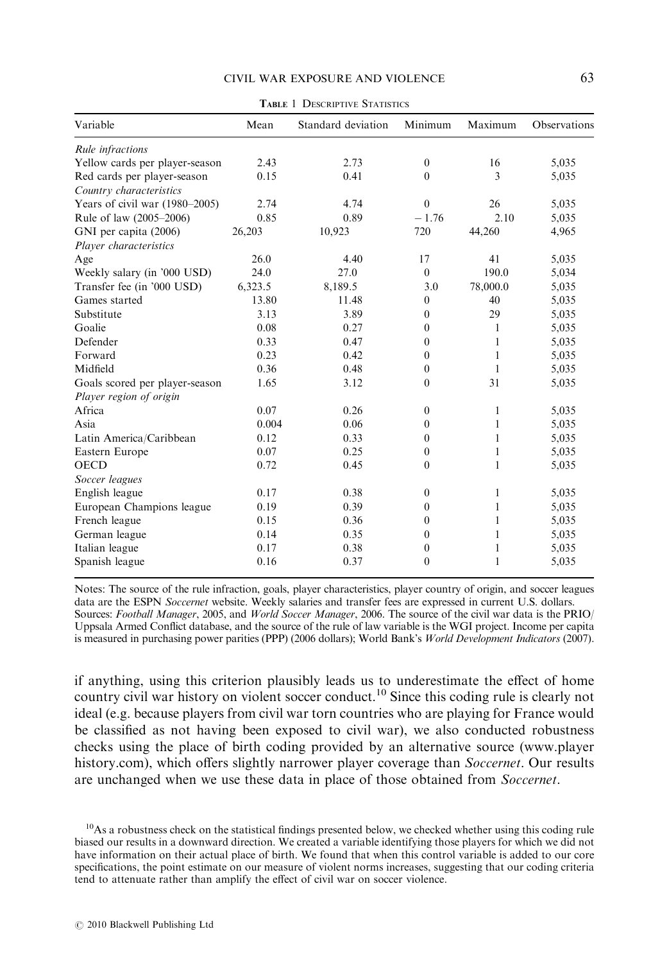| Variable                       | Mean    | Standard deviation | Minimum      | Maximum      | Observations |
|--------------------------------|---------|--------------------|--------------|--------------|--------------|
| Rule infractions               |         |                    |              |              |              |
| Yellow cards per player-season | 2.43    | 2.73               | $\mathbf{0}$ | 16           | 5,035        |
| Red cards per player-season    | 0.15    | 0.41               | $\mathbf{0}$ | 3            | 5,035        |
| Country characteristics        |         |                    |              |              |              |
| Years of civil war (1980–2005) | 2.74    | 4.74               | $\theta$     | 26           | 5,035        |
| Rule of law (2005–2006)        | 0.85    | 0.89               | $-1.76$      | 2.10         | 5,035        |
| GNI per capita (2006)          | 26,203  | 10,923             | 720          | 44,260       | 4,965        |
| Player characteristics         |         |                    |              |              |              |
| Age                            | 26.0    | 4.40               | 17           | 41           | 5,035        |
| Weekly salary (in '000 USD)    | 24.0    | 27.0               | $\mathbf{0}$ | 190.0        | 5,034        |
| Transfer fee (in '000 USD)     | 6,323.5 | 8,189.5            | 3.0          | 78,000.0     | 5,035        |
| Games started                  | 13.80   | 11.48              | $\mathbf{0}$ | 40           | 5,035        |
| Substitute                     | 3.13    | 3.89               | $\theta$     | 29           | 5,035        |
| Goalie                         | 0.08    | 0.27               | $\mathbf{0}$ | 1            | 5,035        |
| Defender                       | 0.33    | 0.47               | $\theta$     | 1            | 5,035        |
| Forward                        | 0.23    | 0.42               | $\mathbf{0}$ | 1            | 5,035        |
| Midfield                       | 0.36    | 0.48               | $\mathbf{0}$ | $\mathbf{1}$ | 5,035        |
| Goals scored per player-season | 1.65    | 3.12               | $\theta$     | 31           | 5,035        |
| Player region of origin        |         |                    |              |              |              |
| Africa                         | 0.07    | 0.26               | $\mathbf{0}$ | 1            | 5,035        |
| Asia                           | 0.004   | 0.06               | $\mathbf{0}$ | 1            | 5,035        |
| Latin America/Caribbean        | 0.12    | 0.33               | 0            | 1            | 5,035        |
| Eastern Europe                 | 0.07    | 0.25               | $\mathbf{0}$ | 1            | 5,035        |
| OECD                           | 0.72    | 0.45               | $\theta$     | 1            | 5,035        |
| Soccer leagues                 |         |                    |              |              |              |
| English league                 | 0.17    | 0.38               | $\mathbf{0}$ | 1            | 5,035        |
| European Champions league      | 0.19    | 0.39               | $\mathbf{0}$ | 1            | 5,035        |
| French league                  | 0.15    | 0.36               | $\theta$     | 1            | 5,035        |
| German league                  | 0.14    | 0.35               | $\theta$     | 1            | 5,035        |
| Italian league                 | 0.17    | 0.38               | $\theta$     | 1            | 5,035        |
| Spanish league                 | 0.16    | 0.37               | $\mathbf{0}$ | 1            | 5,035        |

TABLE 1 DESCRIPTIVE STATISTICS

Notes: The source of the rule infraction, goals, player characteristics, player country of origin, and soccer leagues data are the ESPN *Soccernet* website. Weekly salaries and transfer fees are expressed in current U.S. dollars. Sources: Football Manager, 2005, and World Soccer Manager, 2006. The source of the civil war data is the PRIO/ Uppsala Armed Conflict database, and the source of the rule of law variable is the WGI project. Income per capita is measured in purchasing power parities (PPP) (2006 dollars); World Bank's World Development Indicators (2007).

if anything, using this criterion plausibly leads us to underestimate the effect of home country civil war history on violent soccer conduct.<sup>10</sup> Since this coding rule is clearly not ideal (e.g. because players from civil war torn countries who are playing for France would be classified as not having been exposed to civil war), we also conducted robustness checks using the place of birth coding provided by an alternative source [\(www.player](www.playerhistory.com) [history.com\), which offers slightly narrower player coverage than](www.playerhistory.com) Soccernet. Our results [are unchanged when we use these data in place of those obtained from](www.playerhistory.com) Soccernet.

 $10$ As a robustness check on the statistical findings presented below, we checked whether using this coding rule biased our results in a downward direction. We created a variable identifying those players for which we did not have information on their actual place of birth. We found that when this control variable is added to our core specifications, the point estimate on our measure of violent norms increases, suggesting that our coding criteria tend to attenuate rather than amplify the effect of civil war on soccer violence.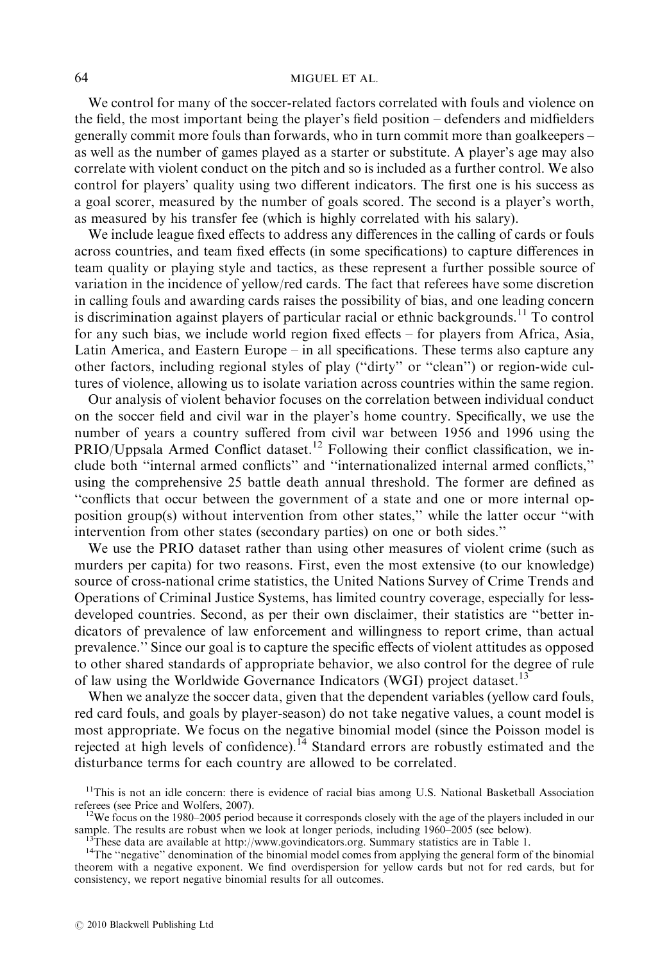# 64 MIGUEL ET AL.

We control for many of the soccer-related factors correlated with fouls and violence on the field, the most important being the player's field position – defenders and midfielders generally commit more fouls than forwards, who in turn commit more than goalkeepers – as well as the number of games played as a starter or substitute. A player's age may also correlate with violent conduct on the pitch and so is included as a further control. We also control for players' quality using two different indicators. The first one is his success as a goal scorer, measured by the number of goals scored. The second is a player's worth, as measured by his transfer fee (which is highly correlated with his salary).

We include league fixed effects to address any differences in the calling of cards or fouls across countries, and team fixed effects (in some specifications) to capture differences in team quality or playing style and tactics, as these represent a further possible source of variation in the incidence of yellow/red cards. The fact that referees have some discretion in calling fouls and awarding cards raises the possibility of bias, and one leading concern is discrimination against players of particular racial or ethnic backgrounds.<sup>11</sup> To control for any such bias, we include world region fixed effects – for players from Africa, Asia, Latin America, and Eastern Europe – in all specifications. These terms also capture any other factors, including regional styles of play (''dirty'' or ''clean'') or region-wide cultures of violence, allowing us to isolate variation across countries within the same region.

Our analysis of violent behavior focuses on the correlation between individual conduct on the soccer field and civil war in the player's home country. Specifically, we use the number of years a country suffered from civil war between 1956 and 1996 using the PRIO/Uppsala Armed Conflict dataset.<sup>12</sup> Following their conflict classification, we include both ''internal armed conflicts'' and ''internationalized internal armed conflicts,'' using the comprehensive 25 battle death annual threshold. The former are defined as ''conflicts that occur between the government of a state and one or more internal opposition group(s) without intervention from other states,'' while the latter occur ''with intervention from other states (secondary parties) on one or both sides.''

We use the PRIO dataset rather than using other measures of violent crime (such as murders per capita) for two reasons. First, even the most extensive (to our knowledge) source of cross-national crime statistics, the United Nations Survey of Crime Trends and Operations of Criminal Justice Systems, has limited country coverage, especially for lessdeveloped countries. Second, as per their own disclaimer, their statistics are ''better indicators of prevalence of law enforcement and willingness to report crime, than actual prevalence.'' Since our goal is to capture the specific effects of violent attitudes as opposed to other shared standards of appropriate behavior, we also control for the degree of rule of law using the Worldwide Governance Indicators (WGI) project dataset.<sup>13</sup>

When we analyze the soccer data, given that the dependent variables (yellow card fouls, red card fouls, and goals by player-season) do not take negative values, a count model is most appropriate. We focus on the negative binomial model (since the Poisson model is rejected at high levels of confidence).<sup>14</sup> Standard errors are robustly estimated and the disturbance terms for each country are allowed to be correlated.

 $11$ This is not an idle concern: there is evidence of racial bias among U.S. National Basketball Association referees (see Price and Wolfers, 2007).

 $12$ We focus on the 1980–2005 period because it corresponds closely with the age of the players included in our sample. The results are robust when we look at longer periods, including 1960–2005 (see below).

<sup>&</sup>lt;sup>13</sup>These data are available at [http://www.govindicators.org. Summary statistics are in Table 1.](http://www.govindicators.org)<br><sup>14</sup>The "negative" denomination of the binomial model comes from applying the general form of the binomial theorem with a negative exponent. We find overdispersion for yellow cards but not for red cards, but for consistency, we report negative binomial results for all outcomes.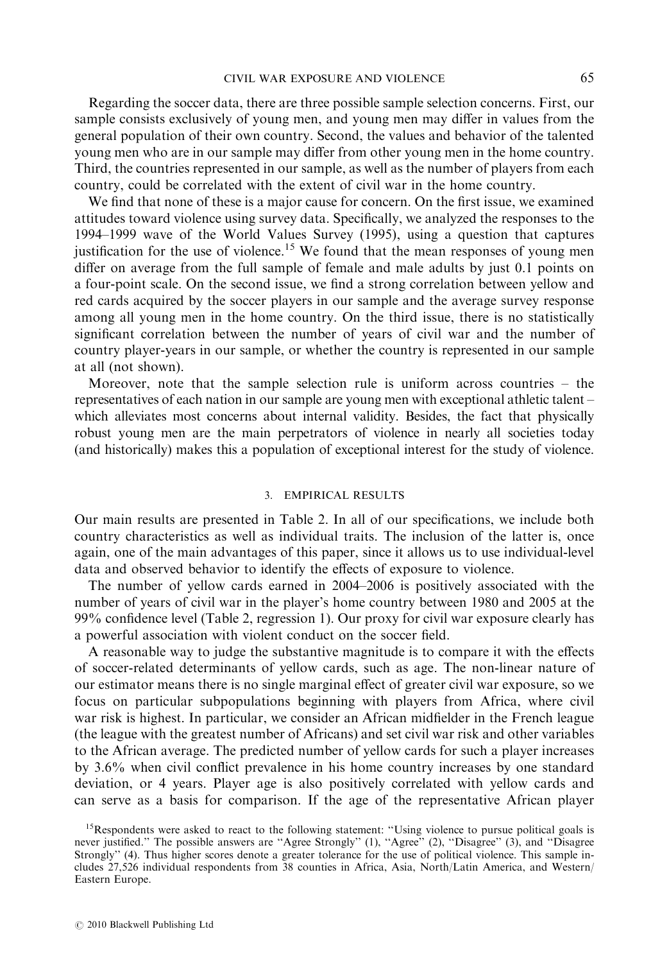Regarding the soccer data, there are three possible sample selection concerns. First, our sample consists exclusively of young men, and young men may differ in values from the general population of their own country. Second, the values and behavior of the talented young men who are in our sample may differ from other young men in the home country. Third, the countries represented in our sample, as well as the number of players from each country, could be correlated with the extent of civil war in the home country.

We find that none of these is a major cause for concern. On the first issue, we examined attitudes toward violence using survey data. Specifically, we analyzed the responses to the 1994–1999 wave of the World Values Survey (1995), using a question that captures justification for the use of violence.<sup>15</sup> We found that the mean responses of young men differ on average from the full sample of female and male adults by just 0.1 points on a four-point scale. On the second issue, we find a strong correlation between yellow and red cards acquired by the soccer players in our sample and the average survey response among all young men in the home country. On the third issue, there is no statistically significant correlation between the number of years of civil war and the number of country player-years in our sample, or whether the country is represented in our sample at all (not shown).

Moreover, note that the sample selection rule is uniform across countries – the representatives of each nation in our sample are young men with exceptional athletic talent – which alleviates most concerns about internal validity. Besides, the fact that physically robust young men are the main perpetrators of violence in nearly all societies today (and historically) makes this a population of exceptional interest for the study of violence.

### 3. EMPIRICAL RESULTS

Our main results are presented in Table 2. In all of our specifications, we include both country characteristics as well as individual traits. The inclusion of the latter is, once again, one of the main advantages of this paper, since it allows us to use individual-level data and observed behavior to identify the effects of exposure to violence.

The number of yellow cards earned in 2004–2006 is positively associated with the number of years of civil war in the player's home country between 1980 and 2005 at the 99% confidence level (Table 2, regression 1). Our proxy for civil war exposure clearly has a powerful association with violent conduct on the soccer field.

A reasonable way to judge the substantive magnitude is to compare it with the effects of soccer-related determinants of yellow cards, such as age. The non-linear nature of our estimator means there is no single marginal effect of greater civil war exposure, so we focus on particular subpopulations beginning with players from Africa, where civil war risk is highest. In particular, we consider an African midfielder in the French league (the league with the greatest number of Africans) and set civil war risk and other variables to the African average. The predicted number of yellow cards for such a player increases by 3.6% when civil conflict prevalence in his home country increases by one standard deviation, or 4 years. Player age is also positively correlated with yellow cards and can serve as a basis for comparison. If the age of the representative African player

 $15$ Respondents were asked to react to the following statement: "Using violence to pursue political goals is never justified." The possible answers are "Agree Strongly" (1), "Agree" (2), "Disagree" (3), and "Disagree" Strongly'' (4). Thus higher scores denote a greater tolerance for the use of political violence. This sample includes 27,526 individual respondents from 38 counties in Africa, Asia, North/Latin America, and Western/ Eastern Europe.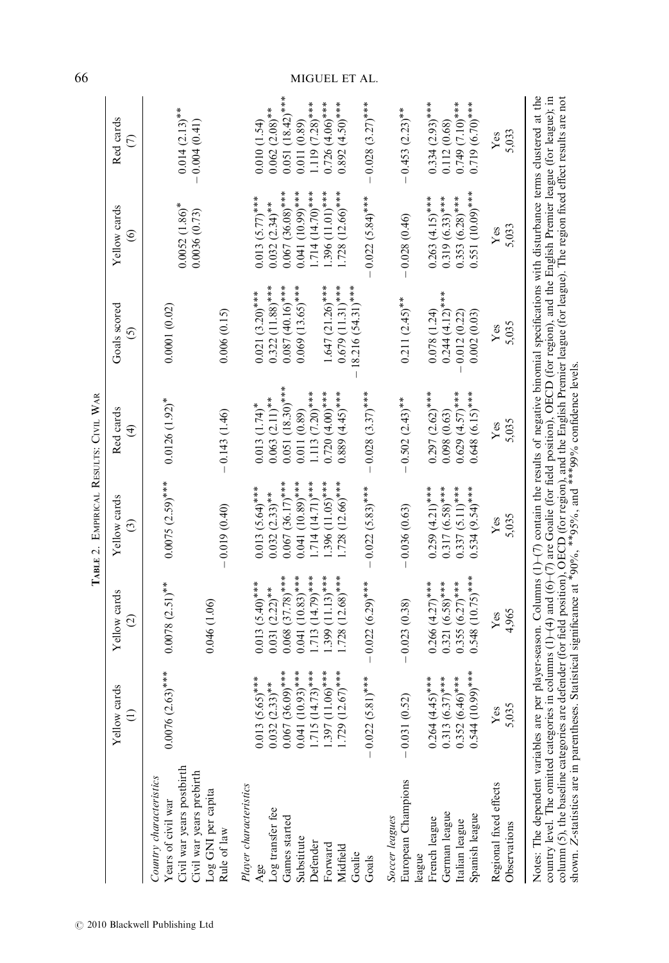|                                                                                                                                                                             |                                                  |                                                | TABLE 2. EMPIRICAL RESULTS: CIVIL WAR    |                                        |                                            |                                             |                                        |
|-----------------------------------------------------------------------------------------------------------------------------------------------------------------------------|--------------------------------------------------|------------------------------------------------|------------------------------------------|----------------------------------------|--------------------------------------------|---------------------------------------------|----------------------------------------|
|                                                                                                                                                                             | Yellow cards                                     | Yellow cards<br>$\widehat{\mathbb{C}}$         | Yellow cards<br>වි                       | Red cards<br>$\widehat{\mathcal{A}}$   | Goals scored<br>ତି                         | Yellow cards<br>ତ୍ର                         | Red cards<br>$\widehat{\Xi}$           |
| Civil war years postbirth<br>Country characteristics<br>Years of civil war                                                                                                  | $(2.63)$ ***<br>0.0076                           | $0.0078(2.51)$ **                              | $0.0075$ (2.59)***                       | $0.0126$ (1.92) <sup>*</sup>           | 0.0001(0.02)                               | $0.0052(1.86)$ <sup>*</sup>                 | $0.014(2.13)$ **                       |
| Civil war years prebirth<br>Log GNI per capita<br>Rule of law                                                                                                               |                                                  | 0.046(1.06)                                    | $-0.019(0.40)$                           | $-0.143(1.46)$                         | 0.006(0.15)                                | 0.0036(0.73)                                | $-0.004(0.41)$                         |
| Player characteristics<br>Log transfer fee<br>Age                                                                                                                           | $(5.65)$ ***<br>$(2.33)$ **<br>0.013<br>0.032    | $0.013(5.40)$ ***<br>$0.031 (2.22)^{***}$      | $0.013(5.64)$ ***<br>$0.032(2.33)$ **    | $0.063(2.11)$ **<br>$0.013$ $(1.74)^*$ | $0.322(11.88)$ ***<br>$0.021 (3.20)$ ***   | $0.013 (5.77)^***$<br>$0.032(2.34)$ **      | $0.062(2.08)$ **<br>0.010(1.54)        |
| Games started<br>Substitute                                                                                                                                                 | $(10.93)$ ***<br>$(36.09)$ ***<br>$0.067\,$      | $0.041(10.83)$ ***<br>$0.068(37.78)$ ***       | $0.041(10.89)$ ***<br>$0.067(36.17)$ *** | $0.051(18.30)$ ***<br>0.011 (0.89)     | $0.069$ (13.65)***<br>$0.087(40.16)$ ***   | $0.041(10.99)$ ***<br>$0.067(36.08)$ ***    | $0.051(18.42)$ ***<br>0.011(0.89)      |
| Defender                                                                                                                                                                    | $(14.73)$ ***<br>$0.041$<br>1.715                | $1.713(14.79)$ ***                             | $.714(14.71)^{***}$                      | $1.113 (7.20)$ ***                     |                                            | $1.714(14.70)$ ***                          | $1.119(7.28)$ ***                      |
| Forward<br>Midfield                                                                                                                                                         | $(11.06)$ ***<br>$(12.67)$ ***<br>1.729<br>1.397 | $1.728$ $(12.68)$ ***<br>$1.399$ $(11.13)$ *** | $.396(11.05)$ ***<br>$.728(12.66)***$    | $0.720(4.00)$ ***<br>$0.889(4.45)***$  | $1.647(21.26)***$<br>$0.679$ $(11.31)^***$ | $1.396(11.01)$ ***<br>$1.728$ $(12.66)$ *** | $0.726(4.06)$ ***<br>$0.892(4.50)$ *** |
| Goalie<br>Goals                                                                                                                                                             | $(5.81)^***$<br>$-0.022$                         | $-0.022(6.29)$ ***                             | $-0.022(5.83)$ ***                       | $-0.028$ $(3.37)***$                   | $8.216 (54.31)^***$                        | $-0.022(5.84)^***$                          | $-0.028$ $(3.27)$ ***                  |
| European Champions<br>Soccer leagues<br>league                                                                                                                              | (0.52)<br>$-0.031$                               | $-0.023(0.38)$                                 | $-0.036(0.63)$                           | $-0.502(2.43)$ **                      | $0.211 (2.45)$ **                          | $-0.028(0.46)$                              | $-0.453$ $(2.23)$ **                   |
| German league<br>French league                                                                                                                                              | $(6.37)$ ***<br>$(4.45)$ ****<br>0.264<br>0.313  | $0.321(6.58)$ ***<br>$0.266(4.27)$ ***         | $0.317(6.58)$ ***<br>$0.259(4.21)^***$   | $0.297 (2.62)$ ***<br>0.098(0.63)      | $0.244$ $(4.12)$ ***<br>0.078(1.24)        | $0.319(6.33)$ ***<br>$0.263(4.15)$ ***      | $0.334 (2.93)^{***}$<br>0.112(0.68)    |
| Spanish league<br>Italian league                                                                                                                                            | $10.991***$<br>$(6.46)$ ***<br>0.544<br>0.352    | $0.548(10.75)$ ***<br>$0.355(6.27)$ ***        | $0.337(5.11)^***$<br>$0.534(9.54)^***$   | $0.629(4.57)$ ***<br>$0.648(6.15)$ *** | 0.012(0.22)<br>0.002(0.03)                 | $0.551(10.09)$ ***<br>$0.353(6.28)$ ***     | $0.749(7.10)$ ***<br>$0.719(6.70)$ *** |
| Regional fixed effects<br>Observations                                                                                                                                      | 5,035<br>Yes                                     | 4,965<br>Yes                                   | 5,035<br>$_{\rm Yes}$                    | 5,035<br>$Y$ es                        | 5,035<br>Yes                               | 5,033<br>$Y$ es                             | 5,033<br>$Y$ es                        |
| Notes: The dependent variables are per player-season. Columns $(1)$ - $(7)$ contain the results of negative binomial specifications with disturbance terms clustered at the |                                                  |                                                |                                          |                                        |                                            |                                             |                                        |

country level. The omitted categories in columns  $(1)$ –(4) and  $(6)$ –(7) are Goalie (for field position), OECD (for region), and the English Premier league (for league); in column (5), the baseline categories are defender (for field position), OECD (for region), and the English Premier league (for league). The region fixed effect results are not

 $90\%$ ,  $*^{*}95\%$ , and  $*^{**}$ 

99% confidence levels.

shown.

 $Z$ -statistics are in parentheses. Statistical significance at  $*$ 

# 66 MIGUEL ET AL.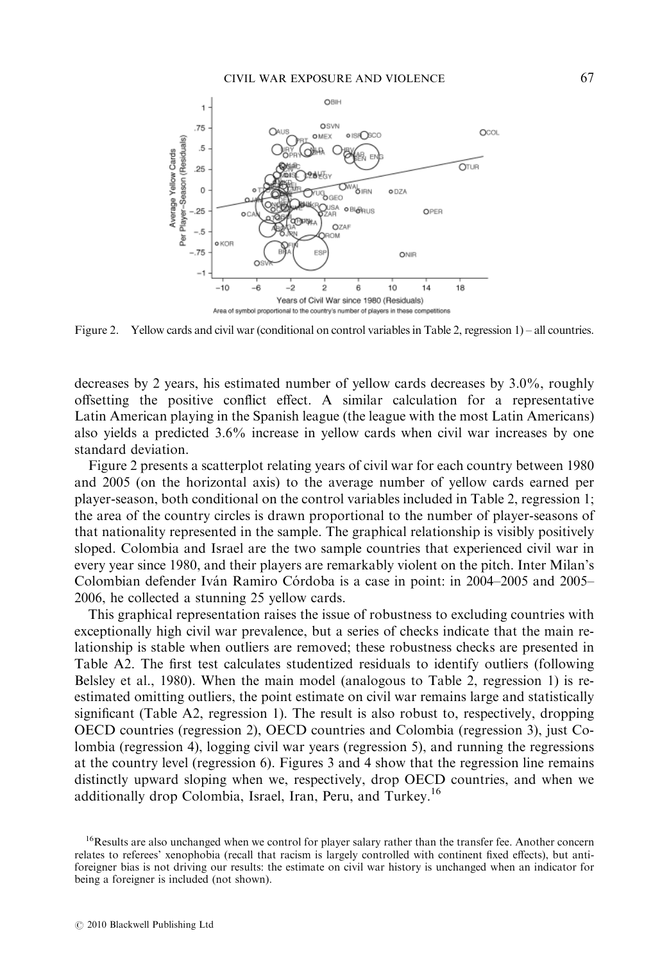

Figure 2. Yellow cards and civil war (conditional on control variables in Table 2, regression 1) – all countries.

decreases by 2 years, his estimated number of yellow cards decreases by 3.0%, roughly offsetting the positive conflict effect. A similar calculation for a representative Latin American playing in the Spanish league (the league with the most Latin Americans) also yields a predicted 3.6% increase in yellow cards when civil war increases by one standard deviation.

Figure 2 presents a scatterplot relating years of civil war for each country between 1980 and 2005 (on the horizontal axis) to the average number of yellow cards earned per player-season, both conditional on the control variables included in Table 2, regression 1; the area of the country circles is drawn proportional to the number of player-seasons of that nationality represented in the sample. The graphical relationship is visibly positively sloped. Colombia and Israel are the two sample countries that experienced civil war in every year since 1980, and their players are remarkably violent on the pitch. Inter Milan's Colombian defender Iván Ramiro Córdoba is a case in point: in 2004–2005 and 2005– 2006, he collected a stunning 25 yellow cards.

This graphical representation raises the issue of robustness to excluding countries with exceptionally high civil war prevalence, but a series of checks indicate that the main relationship is stable when outliers are removed; these robustness checks are presented in Table A2. The first test calculates studentized residuals to identify outliers (following Belsley et al., 1980). When the main model (analogous to Table 2, regression 1) is reestimated omitting outliers, the point estimate on civil war remains large and statistically significant (Table A2, regression 1). The result is also robust to, respectively, dropping OECD countries (regression 2), OECD countries and Colombia (regression 3), just Colombia (regression 4), logging civil war years (regression 5), and running the regressions at the country level (regression 6). Figures 3 and 4 show that the regression line remains distinctly upward sloping when we, respectively, drop OECD countries, and when we additionally drop Colombia, Israel, Iran, Peru, and Turkey.16

<sup>&</sup>lt;sup>16</sup>Results are also unchanged when we control for player salary rather than the transfer fee. Another concern relates to referees' xenophobia (recall that racism is largely controlled with continent fixed effects), but antiforeigner bias is not driving our results: the estimate on civil war history is unchanged when an indicator for being a foreigner is included (not shown).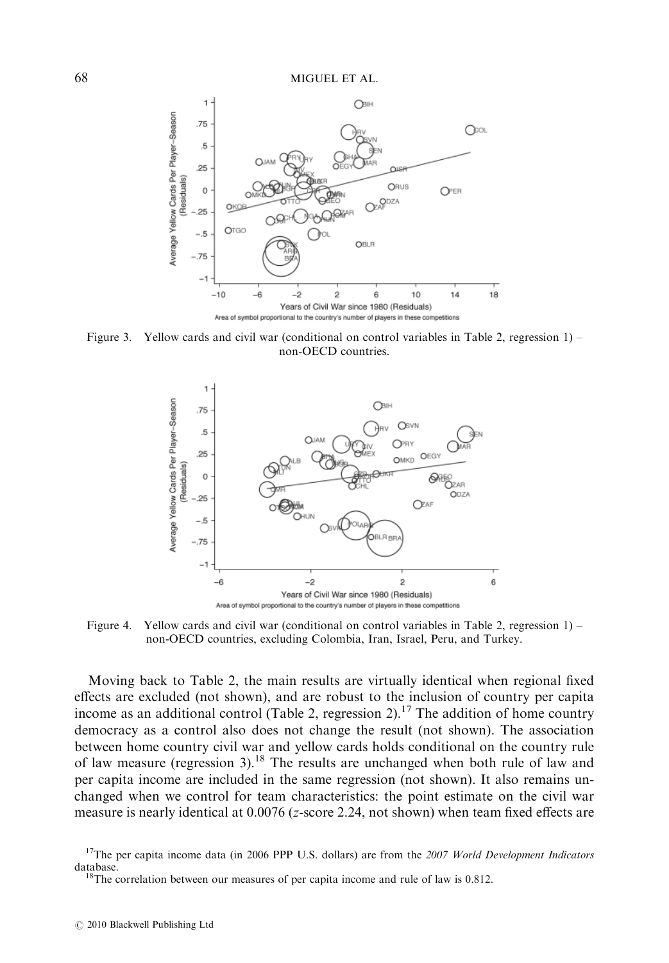

Figure 3. Yellow cards and civil war (conditional on control variables in Table 2, regression 1) – non-OECD countries.



Figure 4. Yellow cards and civil war (conditional on control variables in Table 2, regression  $1$ ) – non-OECD countries, excluding Colombia, Iran, Israel, Peru, and Turkey.

Moving back to Table 2, the main results are virtually identical when regional fixed effects are excluded (not shown), and are robust to the inclusion of country per capita income as an additional control (Table 2, regression 2).<sup>17</sup> The addition of home country democracy as a control also does not change the result (not shown). The association between home country civil war and yellow cards holds conditional on the country rule of law measure (regression 3).<sup>18</sup> The results are unchanged when both rule of law and per capita income are included in the same regression (not shown). It also remains unchanged when we control for team characteristics: the point estimate on the civil war measure is nearly identical at 0.0076 (z-score 2.24, not shown) when team fixed effects are

<sup>&</sup>lt;sup>17</sup>The per capita income data (in 2006 PPP U.S. dollars) are from the 2007 World Development Indicators database.<br><sup>18</sup>The correlation between our measures of per capita income and rule of law is 0.812.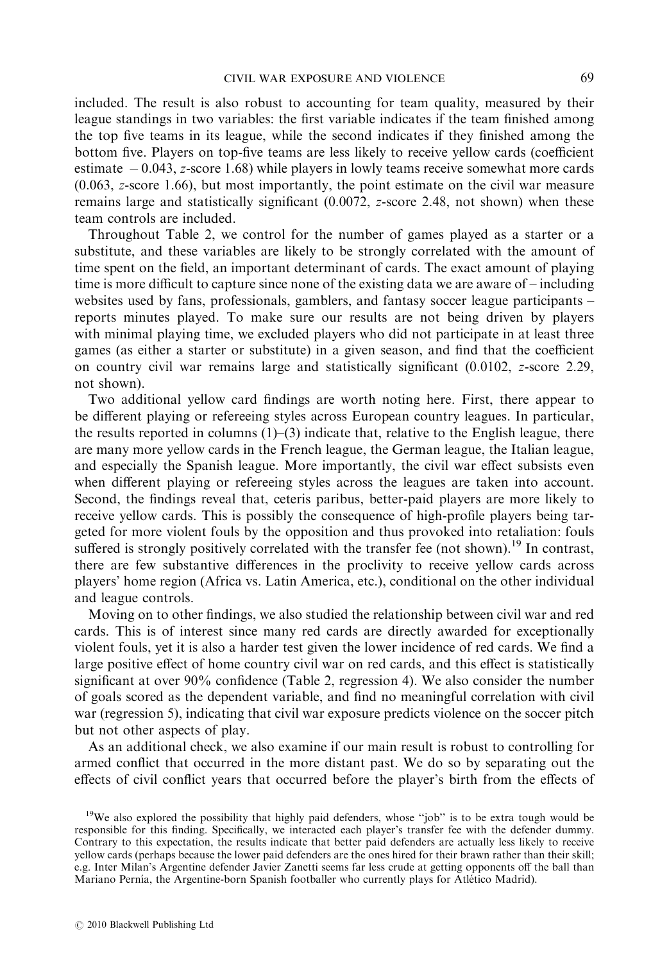included. The result is also robust to accounting for team quality, measured by their league standings in two variables: the first variable indicates if the team finished among the top five teams in its league, while the second indicates if they finished among the bottom five. Players on top-five teams are less likely to receive yellow cards (coefficient estimate  $-0.043$ , z-score 1.68) while players in lowly teams receive somewhat more cards (0.063, z-score 1.66), but most importantly, the point estimate on the civil war measure remains large and statistically significant  $(0.0072, z$ -score 2.48, not shown) when these team controls are included.

Throughout Table 2, we control for the number of games played as a starter or a substitute, and these variables are likely to be strongly correlated with the amount of time spent on the field, an important determinant of cards. The exact amount of playing time is more difficult to capture since none of the existing data we are aware of – including websites used by fans, professionals, gamblers, and fantasy soccer league participants – reports minutes played. To make sure our results are not being driven by players with minimal playing time, we excluded players who did not participate in at least three games (as either a starter or substitute) in a given season, and find that the coefficient on country civil war remains large and statistically significant (0.0102, z-score 2.29, not shown).

Two additional yellow card findings are worth noting here. First, there appear to be different playing or refereeing styles across European country leagues. In particular, the results reported in columns  $(1)$ – $(3)$  indicate that, relative to the English league, there are many more yellow cards in the French league, the German league, the Italian league, and especially the Spanish league. More importantly, the civil war effect subsists even when different playing or refereeing styles across the leagues are taken into account. Second, the findings reveal that, ceteris paribus, better-paid players are more likely to receive yellow cards. This is possibly the consequence of high-profile players being targeted for more violent fouls by the opposition and thus provoked into retaliation: fouls suffered is strongly positively correlated with the transfer fee (not shown).<sup>19</sup> In contrast, there are few substantive differences in the proclivity to receive yellow cards across players' home region (Africa vs. Latin America, etc.), conditional on the other individual and league controls.

Moving on to other findings, we also studied the relationship between civil war and red cards. This is of interest since many red cards are directly awarded for exceptionally violent fouls, yet it is also a harder test given the lower incidence of red cards. We find a large positive effect of home country civil war on red cards, and this effect is statistically significant at over 90% confidence (Table 2, regression 4). We also consider the number of goals scored as the dependent variable, and find no meaningful correlation with civil war (regression 5), indicating that civil war exposure predicts violence on the soccer pitch but not other aspects of play.

As an additional check, we also examine if our main result is robust to controlling for armed conflict that occurred in the more distant past. We do so by separating out the effects of civil conflict years that occurred before the player's birth from the effects of

<sup>&</sup>lt;sup>19</sup>We also explored the possibility that highly paid defenders, whose "job" is to be extra tough would be responsible for this finding. Specifically, we interacted each player's transfer fee with the defender dummy. Contrary to this expectation, the results indicate that better paid defenders are actually less likely to receive yellow cards (perhaps because the lower paid defenders are the ones hired for their brawn rather than their skill; e.g. Inter Milan's Argentine defender Javier Zanetti seems far less crude at getting opponents off the ball than Mariano Pernía, the Argentine-born Spanish footballer who currently plays for Atlético Madrid).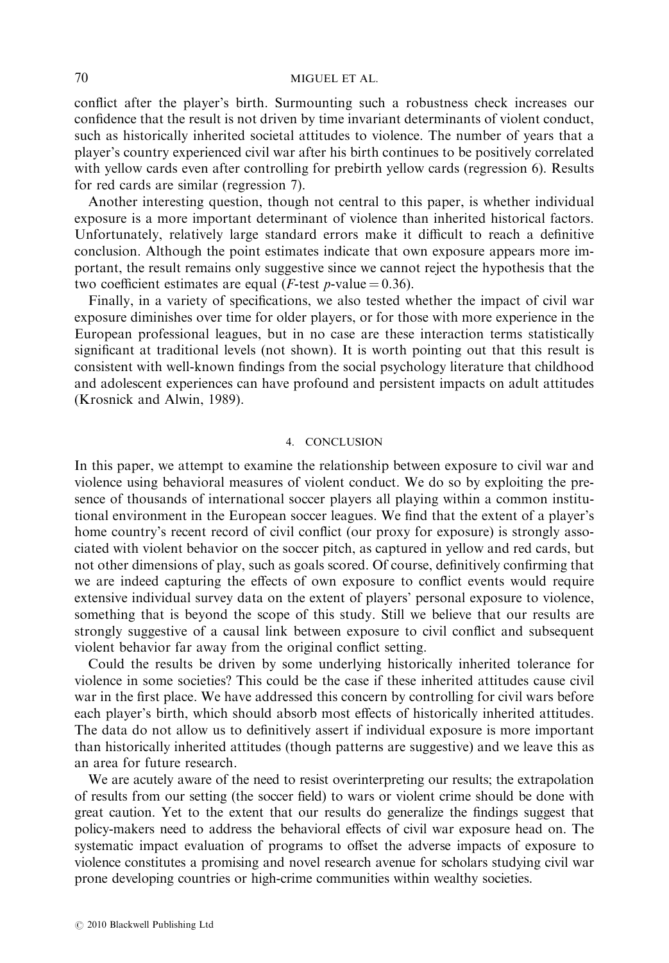conflict after the player's birth. Surmounting such a robustness check increases our confidence that the result is not driven by time invariant determinants of violent conduct, such as historically inherited societal attitudes to violence. The number of years that a player's country experienced civil war after his birth continues to be positively correlated with yellow cards even after controlling for prebirth yellow cards (regression 6). Results for red cards are similar (regression 7).

Another interesting question, though not central to this paper, is whether individual exposure is a more important determinant of violence than inherited historical factors. Unfortunately, relatively large standard errors make it difficult to reach a definitive conclusion. Although the point estimates indicate that own exposure appears more important, the result remains only suggestive since we cannot reject the hypothesis that the two coefficient estimates are equal (*F*-test *p*-value = 0.36).

Finally, in a variety of specifications, we also tested whether the impact of civil war exposure diminishes over time for older players, or for those with more experience in the European professional leagues, but in no case are these interaction terms statistically significant at traditional levels (not shown). It is worth pointing out that this result is consistent with well-known findings from the social psychology literature that childhood and adolescent experiences can have profound and persistent impacts on adult attitudes (Krosnick and Alwin, 1989).

#### 4. CONCLUSION

In this paper, we attempt to examine the relationship between exposure to civil war and violence using behavioral measures of violent conduct. We do so by exploiting the presence of thousands of international soccer players all playing within a common institutional environment in the European soccer leagues. We find that the extent of a player's home country's recent record of civil conflict (our proxy for exposure) is strongly associated with violent behavior on the soccer pitch, as captured in yellow and red cards, but not other dimensions of play, such as goals scored. Of course, definitively confirming that we are indeed capturing the effects of own exposure to conflict events would require extensive individual survey data on the extent of players' personal exposure to violence, something that is beyond the scope of this study. Still we believe that our results are strongly suggestive of a causal link between exposure to civil conflict and subsequent violent behavior far away from the original conflict setting.

Could the results be driven by some underlying historically inherited tolerance for violence in some societies? This could be the case if these inherited attitudes cause civil war in the first place. We have addressed this concern by controlling for civil wars before each player's birth, which should absorb most effects of historically inherited attitudes. The data do not allow us to definitively assert if individual exposure is more important than historically inherited attitudes (though patterns are suggestive) and we leave this as an area for future research.

We are acutely aware of the need to resist overinterpreting our results; the extrapolation of results from our setting (the soccer field) to wars or violent crime should be done with great caution. Yet to the extent that our results do generalize the findings suggest that policy-makers need to address the behavioral effects of civil war exposure head on. The systematic impact evaluation of programs to offset the adverse impacts of exposure to violence constitutes a promising and novel research avenue for scholars studying civil war prone developing countries or high-crime communities within wealthy societies.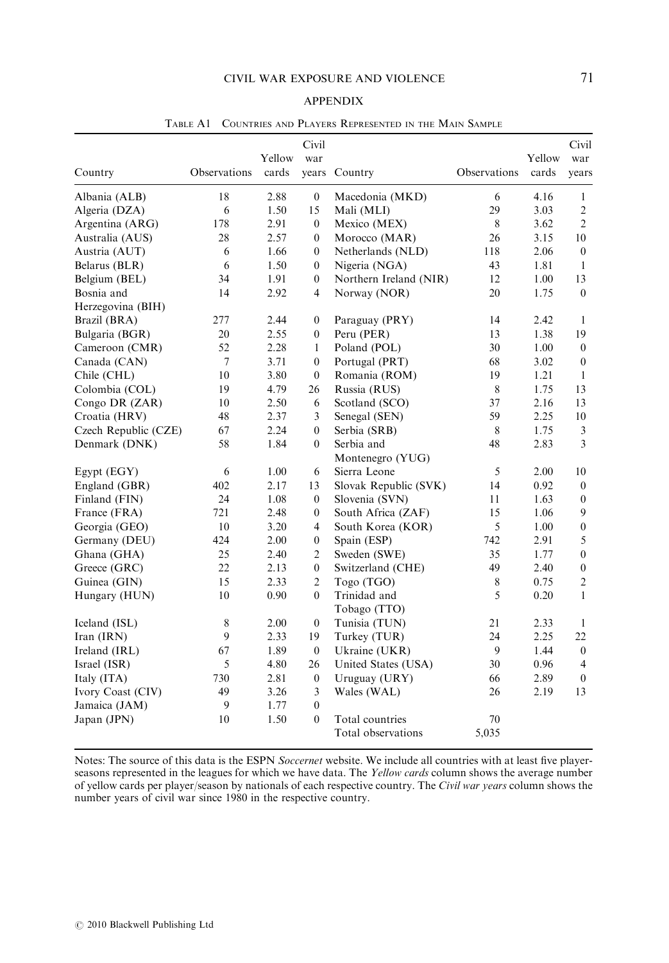# CIVIL WAR EXPOSURE AND VIOLENCE 71

#### APPENDIX

|                      |              |                 | Civil            |                        |              |                 | Civil            |
|----------------------|--------------|-----------------|------------------|------------------------|--------------|-----------------|------------------|
| Country              | Observations | Yellow<br>cards | war              | years Country          | Observations | Yellow<br>cards | war<br>years     |
| Albania (ALB)        | 18           | 2.88            | $\boldsymbol{0}$ | Macedonia (MKD)        | 6            | 4.16            | $\mathbf{1}$     |
| Algeria (DZA)        | 6            | 1.50            | 15               | Mali (MLI)             | 29           | 3.03            | $\overline{c}$   |
| Argentina (ARG)      | 178          | 2.91            | $\mathbf{0}$     | Mexico (MEX)           | 8            | 3.62            | $\overline{2}$   |
| Australia (AUS)      | 28           | 2.57            | $\boldsymbol{0}$ | Morocco (MAR)          | 26           | 3.15            | 10               |
| Austria (AUT)        | 6            | 1.66            | $\boldsymbol{0}$ | Netherlands (NLD)      | 118          | 2.06            | $\overline{0}$   |
| Belarus (BLR)        | 6            | 1.50            | $\boldsymbol{0}$ | Nigeria (NGA)          | 43           | 1.81            | $\mathbf{1}$     |
| Belgium (BEL)        | 34           | 1.91            | $\boldsymbol{0}$ | Northern Ireland (NIR) | 12           | 1.00            | 13               |
| Bosnia and           | 14           | 2.92            | $\overline{4}$   | Norway (NOR)           | 20           | 1.75            | $\overline{0}$   |
| Herzegovina (BIH)    |              |                 |                  |                        |              |                 |                  |
| Brazil (BRA)         | 277          | 2.44            | $\boldsymbol{0}$ | Paraguay (PRY)         | 14           | 2.42            | 1                |
| Bulgaria (BGR)       | 20           | 2.55            | $\boldsymbol{0}$ | Peru (PER)             | 13           | 1.38            | 19               |
| Cameroon (CMR)       | 52           | 2.28            | $\mathbf{1}$     | Poland (POL)           | 30           | 1.00            | $\overline{0}$   |
| Canada (CAN)         | 7            | 3.71            | $\boldsymbol{0}$ | Portugal (PRT)         | 68           | 3.02            | $\boldsymbol{0}$ |
| Chile (CHL)          | 10           | 3.80            | $\boldsymbol{0}$ | Romania (ROM)          | 19           | 1.21            | $\mathbf{1}$     |
| Colombia (COL)       | 19           | 4.79            | 26               | Russia (RUS)           | 8            | 1.75            | 13               |
| Congo DR (ZAR)       | 10           | 2.50            | 6                | Scotland (SCO)         | 37           | 2.16            | 13               |
| Croatia (HRV)        | 48           | 2.37            | 3                | Senegal (SEN)          | 59           | 2.25            | 10               |
| Czech Republic (CZE) | 67           | 2.24            | $\boldsymbol{0}$ | Serbia (SRB)           | 8            | 1.75            | 3                |
| Denmark (DNK)        | 58           | 1.84            | $\mathbf{0}$     | Serbia and             | 48           | 2.83            | 3                |
|                      |              |                 |                  | Montenegro (YUG)       |              |                 |                  |
| Egypt (EGY)          | 6            | 1.00            | 6                | Sierra Leone           | 5            | 2.00            | 10               |
| England (GBR)        | 402          | 2.17            | 13               | Slovak Republic (SVK)  | 14           | 0.92            | $\boldsymbol{0}$ |
| Finland (FIN)        | 24           | 1.08            | $\boldsymbol{0}$ | Slovenia (SVN)         | 11           | 1.63            | $\boldsymbol{0}$ |
| France (FRA)         | 721          | 2.48            | $\mathbf{0}$     | South Africa (ZAF)     | 15           | 1.06            | 9                |
| Georgia (GEO)        | 10           | 3.20            | $\overline{4}$   | South Korea (KOR)      | 5            | 1.00            | $\boldsymbol{0}$ |
| Germany (DEU)        | 424          | 2.00            | $\boldsymbol{0}$ | Spain (ESP)            | 742          | 2.91            | 5                |
| Ghana (GHA)          | 25           | 2.40            | 2                | Sweden (SWE)           | 35           | 1.77            | $\mathbf{0}$     |
| Greece (GRC)         | 22           | 2.13            | $\boldsymbol{0}$ | Switzerland (CHE)      | 49           | 2.40            | $\overline{0}$   |
| Guinea (GIN)         | 15           | 2.33            | $\overline{2}$   | Togo (TGO)             | $\,$ $\,$    | 0.75            | 2                |
| Hungary (HUN)        | 10           | 0.90            | $\boldsymbol{0}$ | Trinidad and           | 5            | 0.20            | $\mathbf{1}$     |
|                      |              |                 |                  | Tobago (TTO)           |              |                 |                  |
| Iceland (ISL)        | $\,8\,$      | 2.00            | $\boldsymbol{0}$ | Tunisia (TUN)          | 21           | 2.33            | 1                |
| Iran (IRN)           | 9            | 2.33            | 19               | Turkey (TUR)           | 24           | 2.25            | 22               |
| Ireland (IRL)        | 67           | 1.89            | $\mathbf{0}$     | Ukraine (UKR)          | 9            | 1.44            | $\mathbf{0}$     |
| Israel (ISR)         | 5            | 4.80            | 26               | United States (USA)    | 30           | 0.96            | $\overline{4}$   |
| Italy (ITA)          | 730          | 2.81            | $\boldsymbol{0}$ | Uruguay (URY)          | 66           | 2.89            | $\boldsymbol{0}$ |
| Ivory Coast (CIV)    | 49           | 3.26            | 3                | Wales (WAL)            | 26           | 2.19            | 13               |
| Jamaica (JAM)        | 9            | 1.77            | $\mathbf{0}$     |                        |              |                 |                  |
| Japan (JPN)          | 10           | 1.50            | $\mathbf{0}$     | Total countries        | 70           |                 |                  |
|                      |              |                 |                  | Total observations     | 5,035        |                 |                  |

TABLE A1 COUNTRIES AND PLAYERS REPRESENTED IN THE MAIN SAMPLE

Notes: The source of this data is the ESPN Soccernet website. We include all countries with at least five playerseasons represented in the leagues for which we have data. The Yellow cards column shows the average number of yellow cards per player/season by nationals of each respective country. The Civil war years column shows the number years of civil war since 1980 in the respective country.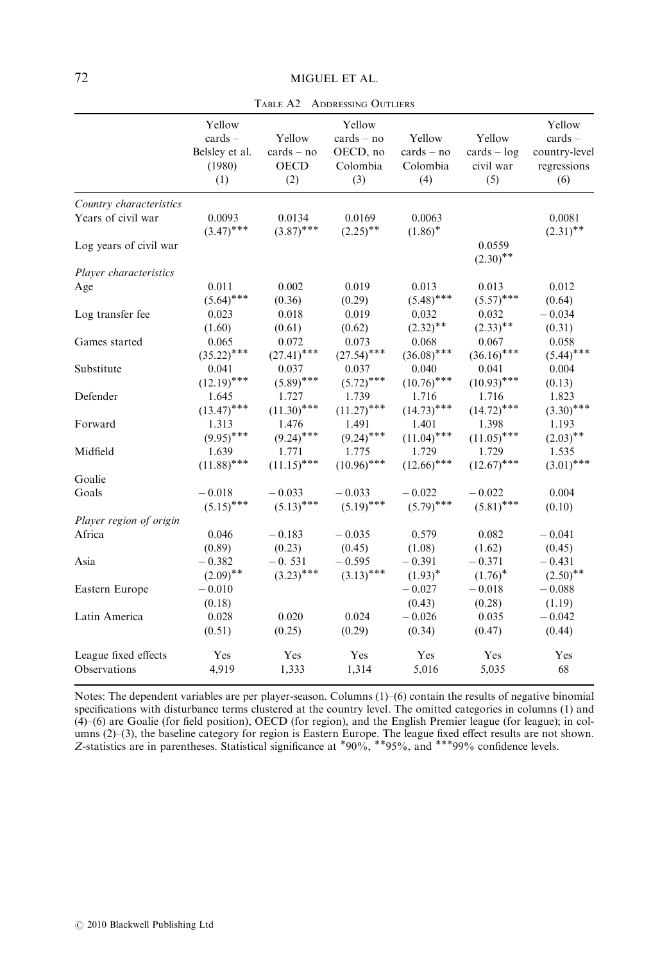|                         | Yellow         |               | Yellow        |               |               | Yellow        |
|-------------------------|----------------|---------------|---------------|---------------|---------------|---------------|
|                         | $cards -$      | Yellow        | $cards - no$  | Yellow        | Yellow        | $cards -$     |
|                         | Belsley et al. | cards - no    | OECD, no      | cards - no    | $cards - log$ | country-level |
|                         | (1980)         | <b>OECD</b>   | Colombia      | Colombia      | civil war     | regressions   |
|                         | (1)            | (2)           | (3)           | (4)           | (5)           | (6)           |
| Country characteristics |                |               |               |               |               |               |
| Years of civil war      | 0.0093         | 0.0134        | 0.0169        | 0.0063        |               | 0.0081        |
|                         | $(3.47)$ ***   | $(3.87)$ ***  | $(2.25)$ **   | $(1.86)^*$    |               | $(2.31)$ **   |
| Log years of civil war  |                |               |               |               | 0.0559        |               |
|                         |                |               |               |               | $(2.30)$ **   |               |
| Player characteristics  |                |               |               |               |               |               |
| Age                     | 0.011          | 0.002         | 0.019         | 0.013         | 0.013         | 0.012         |
|                         | $(5.64)$ ***   | (0.36)        | (0.29)        | $(5.48)$ ***  | $(5.57)$ ***  | (0.64)        |
| Log transfer fee        | 0.023          | 0.018         | 0.019         | 0.032         | 0.032         | $-0.034$      |
|                         | (1.60)         | (0.61)        | (0.62)        | $(2.32)$ **   | $(2.33)$ **   | (0.31)        |
| Games started           | 0.065          | 0.072         | 0.073         | 0.068         | 0.067         | 0.058         |
|                         | $(35.22)$ ***  | $(27.41)$ *** | $(27.54)$ *** | $(36.08)$ *** | $(36.16)$ *** | $(5.44)$ ***  |
| Substitute              | 0.041          | 0.037         | 0.037         | 0.040         | 0.041         | 0.004         |
|                         | $(12.19)$ ***  | $(5.89)$ ***  | $(5.72)$ ***  | $(10.76)$ *** | $(10.93)$ *** | (0.13)        |
| Defender                | 1.645          | 1.727         | 1.739         | 1.716         | 1.716         | 1.823         |
|                         | $(13.47)$ ***  | $(11.30)$ *** | $(11.27)$ *** | $(14.73)$ *** | $(14.72)$ *** | $(3.30)$ ***  |
| Forward                 | 1.313          | 1.476         | 1.491         | 1.401         | 1.398         | 1.193         |
|                         | $(9.95)$ ***   | $(9.24)$ ***  | $(9.24)$ ***  | $(11.04)$ *** | $(11.05)$ *** | $(2.03)$ **   |
| Midfield                | 1.639          | 1.771         | 1.775         | 1.729         | 1.729         | 1.535         |
|                         | $(11.88)$ ***  | $(11.15)$ *** | $(10.96)$ *** | $(12.66)$ *** | $(12.67)$ *** | $(3.01)$ ***  |
| Goalie                  |                |               |               |               |               |               |
| Goals                   | $-0.018$       | $-0.033$      | $-0.033$      | $-0.022$      | $-0.022$      | 0.004         |
|                         | $(5.15)$ ***   | $(5.13)$ ***  | $(5.19)$ ***  | $(5.79)$ ***  | $(5.81)$ ***  | (0.10)        |
| Player region of origin |                |               |               |               |               |               |
| Africa                  | 0.046          | $-0.183$      | $-0.035$      | 0.579         | 0.082         | $-0.041$      |
|                         | (0.89)         | (0.23)        | (0.45)        | (1.08)        | (1.62)        | (0.45)        |
| Asia                    | $-0.382$       | $-0.531$      | $-0.595$      | $-0.391$      | $-0.371$      | $-0.431$      |
|                         | $(2.09)$ **    | $(3.23)$ ***  | $(3.13)$ ***  | $(1.93)^*$    | $(1.76)^*$    | $(2.50)$ **   |
| Eastern Europe          | $-0.010$       |               |               | $-0.027$      | $-0.018$      | $-0.088$      |
|                         | (0.18)         |               |               | (0.43)        | (0.28)        | (1.19)        |
| Latin America           | 0.028          | 0.020         | 0.024         | $-0.026$      | 0.035         | $-0.042$      |
|                         | (0.51)         | (0.25)        | (0.29)        | (0.34)        | (0.47)        | (0.44)        |
| League fixed effects    | Yes            | Yes           | Yes           | Yes           | Yes           | Yes           |
| Observations            | 4.919          | 1,333         | 1,314         | 5,016         | 5,035         | 68            |

TABLE A2 ADDRESSING OUTLIERS

Notes: The dependent variables are per player-season. Columns (1)–(6) contain the results of negative binomial specifications with disturbance terms clustered at the country level. The omitted categories in columns (1) and (4)–(6) are Goalie (for field position), OECD (for region), and the English Premier league (for league); in columns (2)–(3), the baseline category for region is Eastern Europe. The league fixed effect results are not shown.<br>Z-statistics are in parentheses. Statistical significance at \*90%, \*\*95%, and \*\*\*99% confidence levels.